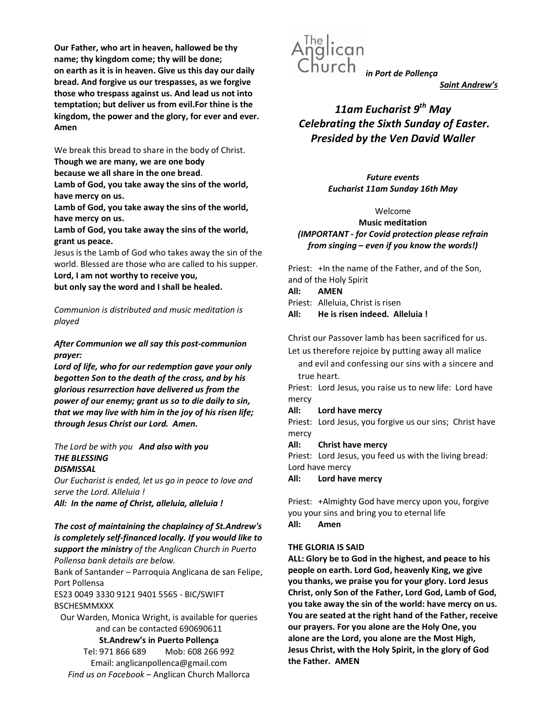Our Father, who art in heaven, hallowed be thy name; thy kingdom come; thy will be done; on earth as it is in heaven. Give us this day our daily bread. And forgive us our trespasses, as we forgive those who trespass against us. And lead us not into temptation; but deliver us from evil.For thine is the kingdom, the power and the glory, for ever and ever. Amen

We break this bread to share in the body of Christ. Though we are many, we are one body

because we all share in the one bread.

Lamb of God, you take away the sins of the world, have mercy on us.

Lamb of God, you take away the sins of the world, have mercy on us.

Lamb of God, you take away the sins of the world, grant us peace.

Jesus is the Lamb of God who takes away the sin of the world. Blessed are those who are called to his supper.

Lord, I am not worthy to receive you,

but only say the word and I shall be healed.

Communion is distributed and music meditation is played

## After Communion we all say this post-communion prayer:

Lord of life, who for our redemption gave your only begotten Son to the death of the cross, and by his glorious resurrection have delivered us from the power of our enemy; grant us so to die daily to sin, that we may live with him in the joy of his risen life; through Jesus Christ our Lord. Amen.

#### The Lord be with you And also with you THE BLESSING **DISMISSAL**

Our Eucharist is ended, let us go in peace to love and serve the Lord. Alleluia !

All: In the name of Christ, alleluia, alleluia !

## The cost of maintaining the chaplaincy of St.Andrew's is completely self-financed locally. If you would like to support the ministry of the Anglican Church in Puerto Pollensa bank details are below.

Bank of Santander – Parroquia Anglicana de san Felipe, Port Pollensa

ES23 0049 3330 9121 9401 5565 - BIC/SWIFT BSCHESMMXXX

Our Warden, Monica Wright, is available for queries and can be contacted 690690611

St.Andrew's in Puerto Pollença

Tel: 971 866 689 Mob: 608 266 992 Email: anglicanpollenca@gmail.com Find us on Facebook – Anglican Church Mallorca



Saint Andrew's

# 11am Eucharist  $9^{th}$  May Celebrating the Sixth Sunday of Easter. Presided by the Ven David Waller

Future events Eucharist 11am Sunday 16th May

### Welcome

Music meditation (IMPORTANT - for Covid protection please refrain from singing – even if you know the words!)

Priest: +In the name of the Father, and of the Son, and of the Holy Spirit

All: AMEN

Priest: Alleluia, Christ is risen

All: He is risen indeed. Alleluia !

Christ our Passover lamb has been sacrificed for us.

Let us therefore rejoice by putting away all malice

and evil and confessing our sins with a sincere and true heart.

Priest: Lord Jesus, you raise us to new life: Lord have mercy

All: Lord have mercy

Priest: Lord Jesus, you forgive us our sins; Christ have mercy

All: Christ have mercy

Priest: Lord Jesus, you feed us with the living bread: Lord have mercy

All: Lord have mercy

Priest: +Almighty God have mercy upon you, forgive you your sins and bring you to eternal life All: Amen

# THE GLORIA IS SAID

ALL: Glory be to God in the highest, and peace to his people on earth. Lord God, heavenly King, we give you thanks, we praise you for your glory. Lord Jesus Christ, only Son of the Father, Lord God, Lamb of God, you take away the sin of the world: have mercy on us. You are seated at the right hand of the Father, receive our prayers. For you alone are the Holy One, you alone are the Lord, you alone are the Most High, Jesus Christ, with the Holy Spirit, in the glory of God the Father. AMEN